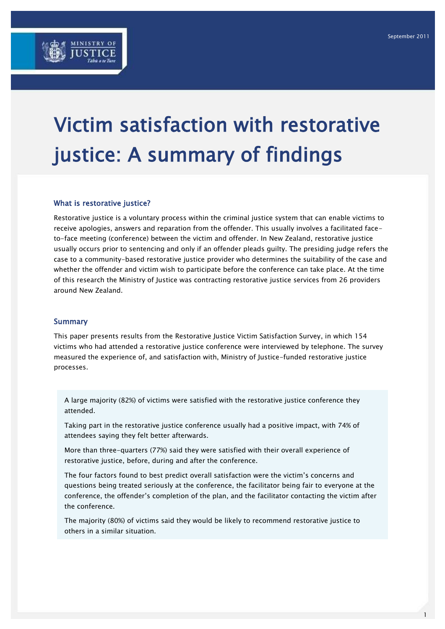

# Victim satisfaction with restorative justice: A summary of findings

## What is restorative justice?

Restorative justice is a voluntary process within the criminal justice system that can enable victims to receive apologies, answers and reparation from the offender. This usually involves a facilitated faceto-face meeting (conference) between the victim and offender. In New Zealand, restorative justice usually occurs prior to sentencing and only if an offender pleads guilty. The presiding judge refers the case to a community-based restorative justice provider who determines the suitability of the case and whether the offender and victim wish to participate before the conference can take place. At the time of this research the Ministry of Justice was contracting restorative justice services from 26 providers around New Zealand.

#### **Summary**

This paper presents results from the Restorative Justice Victim Satisfaction Survey, in which 154 victims who had attended a restorative justice conference were interviewed by telephone. The survey measured the experience of, and satisfaction with, Ministry of Justice-funded restorative justice processes.

A large majority (82%) of victims were satisfied with the restorative justice conference they attended.

Taking part in the restorative justice conference usually had a positive impact, with 74% of attendees saying they felt better afterwards.

More than three-quarters (77%) said they were satisfied with their overall experience of restorative justice, before, during and after the conference.

The four factors found to best predict overall satisfaction were the victim"s concerns and questions being treated seriously at the conference, the facilitator being fair to everyone at the conference, the offender"s completion of the plan, and the facilitator contacting the victim after the conference.

The majority (80%) of victims said they would be likely to recommend restorative justice to others in a similar situation.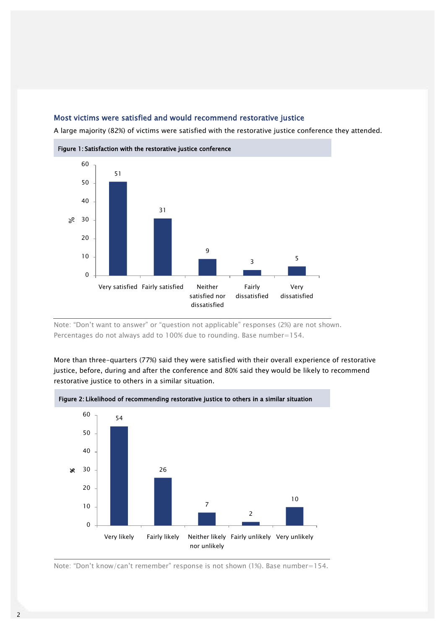## Most victims were satisfied and would recommend restorative justice

A large majority (82%) of victims were satisfied with the restorative justice conference they attended.



Note: "Don"t want to answer" or "question not applicable" responses (2%) are not shown. Percentages do not always add to 100% due to rounding. Base number=154.

More than three-quarters (77%) said they were satisfied with their overall experience of restorative justice, before, during and after the conference and 80% said they would be likely to recommend restorative justice to others in a similar situation.



Figure 2: Likelihood of recommending restorative justice to others in a similar situation

Note: "Don't know/can't remember" response is not shown (1%). Base number=154.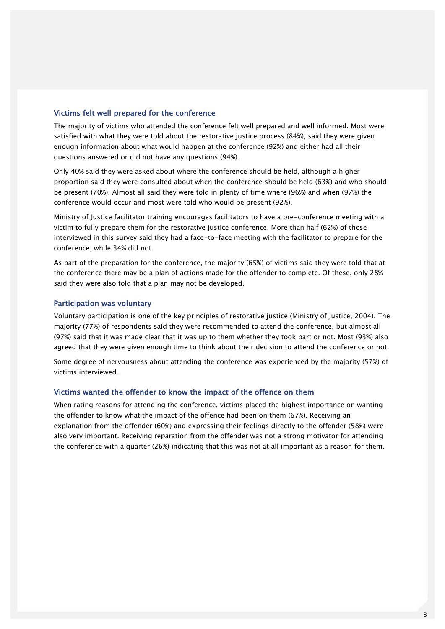## Victims felt well prepared for the conference

The majority of victims who attended the conference felt well prepared and well informed. Most were satisfied with what they were told about the restorative justice process (84%), said they were given enough information about what would happen at the conference (92%) and either had all their questions answered or did not have any questions (94%).

Only 40% said they were asked about where the conference should be held, although a higher proportion said they were consulted about when the conference should be held (63%) and who should be present (70%). Almost all said they were told in plenty of time where (96%) and when (97%) the conference would occur and most were told who would be present (92%).

Ministry of Justice facilitator training encourages facilitators to have a pre-conference meeting with a victim to fully prepare them for the restorative justice conference. More than half (62%) of those interviewed in this survey said they had a face-to-face meeting with the facilitator to prepare for the conference, while 34% did not.

As part of the preparation for the conference, the majority (65%) of victims said they were told that at the conference there may be a plan of actions made for the offender to complete. Of these, only 28% said they were also told that a plan may not be developed.

## Participation was voluntary

Voluntary participation is one of the key principles of restorative justice (Ministry of Justice, 2004). The majority (77%) of respondents said they were recommended to attend the conference, but almost all (97%) said that it was made clear that it was up to them whether they took part or not. Most (93%) also agreed that they were given enough time to think about their decision to attend the conference or not.

Some degree of nervousness about attending the conference was experienced by the majority (57%) of victims interviewed.

## Victims wanted the offender to know the impact of the offence on them

When rating reasons for attending the conference, victims placed the highest importance on wanting the offender to know what the impact of the offence had been on them (67%). Receiving an explanation from the offender (60%) and expressing their feelings directly to the offender (58%) were also very important. Receiving reparation from the offender was not a strong motivator for attending the conference with a quarter (26%) indicating that this was not at all important as a reason for them.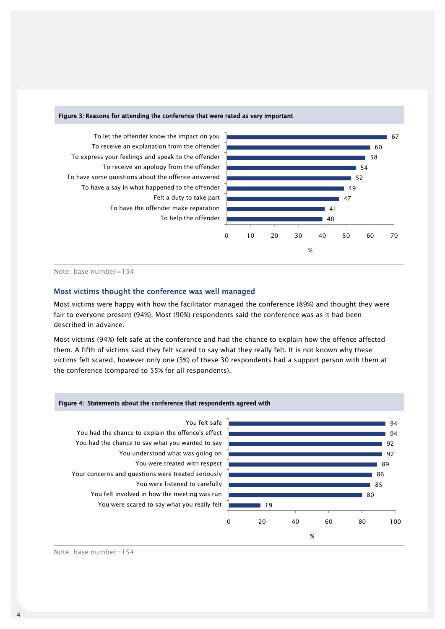#### Figure 3: Reasons for attending the conference that were rated as very important



## Note: base number=154

## Most victims thought the conference was well managed

Most victims were happy with how the facilitator managed the conference (89%) and thought they were fair to everyone present (94%). Most (90%) respondents said the conference was as it had been described in advance.

Most victims (94%) felt safe at the conference and had the chance to explain how the offence affected them. A fifth of victims said they felt scared to say what they really felt. It is not known why these victims felt scared, however only one (3%) of these 30 respondents had a support person with them at the conference (compared to 55% for all respondents).



Note: base number=154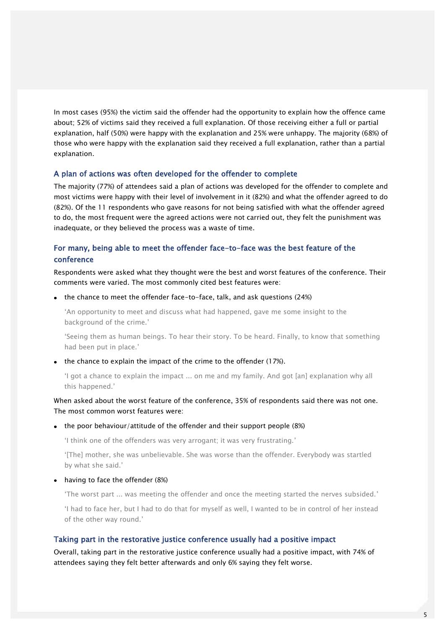In most cases (95%) the victim said the offender had the opportunity to explain how the offence came about; 52% of victims said they received a full explanation. Of those receiving either a full or partial explanation, half (50%) were happy with the explanation and 25% were unhappy. The majority (68%) of those who were happy with the explanation said they received a full explanation, rather than a partial explanation.

#### A plan of actions was often developed for the offender to complete

The majority (77%) of attendees said a plan of actions was developed for the offender to complete and most victims were happy with their level of involvement in it (82%) and what the offender agreed to do (82%). Of the 11 respondents who gave reasons for not being satisfied with what the offender agreed to do, the most frequent were the agreed actions were not carried out, they felt the punishment was inadequate, or they believed the process was a waste of time.

# For many, being able to meet the offender face-to-face was the best feature of the conference

Respondents were asked what they thought were the best and worst features of the conference. Their comments were varied. The most commonly cited best features were:

• the chance to meet the offender face-to-face, talk, and ask questions (24%)

"An opportunity to meet and discuss what had happened, gave me some insight to the background of the crime."

"Seeing them as human beings. To hear their story. To be heard. Finally, to know that something had been put in place.'

• the chance to explain the impact of the crime to the offender (17%).

"I got a chance to explain the impact ... on me and my family. And got [an] explanation why all this happened."

## When asked about the worst feature of the conference, 35% of respondents said there was not one. The most common worst features were:

#### • the poor behaviour/attitude of the offender and their support people (8%)

"I think one of the offenders was very arrogant; it was very frustrating."

"[The] mother, she was unbelievable. She was worse than the offender. Everybody was startled by what she said."

#### • having to face the offender (8%)

"The worst part ... was meeting the offender and once the meeting started the nerves subsided."

"I had to face her, but I had to do that for myself as well, I wanted to be in control of her instead of the other way round."

#### Taking part in the restorative justice conference usually had a positive impact

Overall, taking part in the restorative justice conference usually had a positive impact, with 74% of attendees saying they felt better afterwards and only 6% saying they felt worse.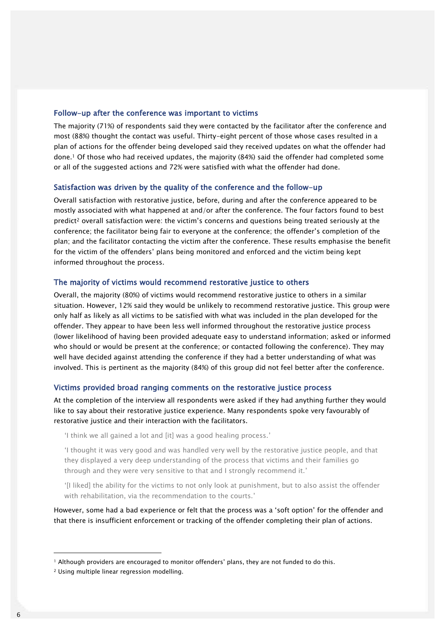## Follow-up after the conference was important to victims

The majority (71%) of respondents said they were contacted by the facilitator after the conference and most (88%) thought the contact was useful. Thirty-eight percent of those whose cases resulted in a plan of actions for the offender being developed said they received updates on what the offender had done.<sup>1</sup> Of those who had received updates, the majority (84%) said the offender had completed some or all of the suggested actions and 72% were satisfied with what the offender had done.

#### Satisfaction was driven by the quality of the conference and the follow-up

Overall satisfaction with restorative justice, before, during and after the conference appeared to be mostly associated with what happened at and/or after the conference. The four factors found to best predict<sup>2</sup> overall satisfaction were: the victim"s concerns and questions being treated seriously at the conference; the facilitator being fair to everyone at the conference; the offender"s completion of the plan; and the facilitator contacting the victim after the conference. These results emphasise the benefit for the victim of the offenders" plans being monitored and enforced and the victim being kept informed throughout the process.

#### The majority of victims would recommend restorative justice to others

Overall, the majority (80%) of victims would recommend restorative justice to others in a similar situation. However, 12% said they would be unlikely to recommend restorative justice. This group were only half as likely as all victims to be satisfied with what was included in the plan developed for the offender. They appear to have been less well informed throughout the restorative justice process (lower likelihood of having been provided adequate easy to understand information; asked or informed who should or would be present at the conference; or contacted following the conference). They may well have decided against attending the conference if they had a better understanding of what was involved. This is pertinent as the majority (84%) of this group did not feel better after the conference.

#### Victims provided broad ranging comments on the restorative justice process

At the completion of the interview all respondents were asked if they had anything further they would like to say about their restorative justice experience. Many respondents spoke very favourably of restorative justice and their interaction with the facilitators.

"I think we all gained a lot and [it] was a good healing process."

"I thought it was very good and was handled very well by the restorative justice people, and that they displayed a very deep understanding of the process that victims and their families go through and they were very sensitive to that and I strongly recommend it."

"[I liked] the ability for the victims to not only look at punishment, but to also assist the offender with rehabilitation, via the recommendation to the courts.'

However, some had a bad experience or felt that the process was a "soft option" for the offender and that there is insufficient enforcement or tracking of the offender completing their plan of actions.

1

<sup>&</sup>lt;sup>1</sup> Although providers are encouraged to monitor offenders' plans, they are not funded to do this.

<sup>2</sup> Using multiple linear regression modelling.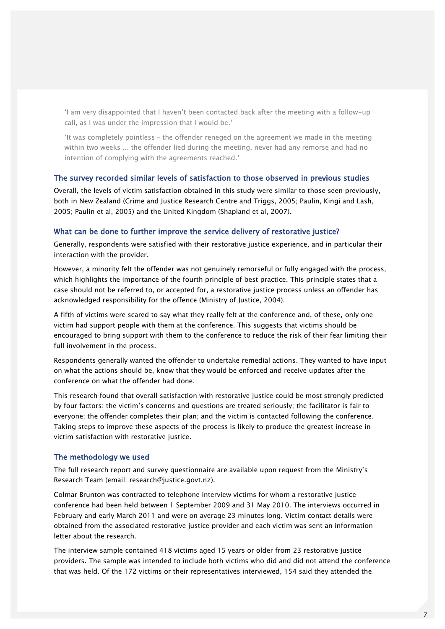"I am very disappointed that I haven"t been contacted back after the meeting with a follow-up call, as I was under the impression that I would be."

"It was completely pointless – the offender reneged on the agreement we made in the meeting within two weeks ... the offender lied during the meeting, never had any remorse and had no intention of complying with the agreements reached."

#### The survey recorded similar levels of satisfaction to those observed in previous studies

Overall, the levels of victim satisfaction obtained in this study were similar to those seen previously, both in New Zealand (Crime and Justice Research Centre and Triggs, 2005; Paulin, Kingi and Lash, 2005; Paulin et al, 2005) and the United Kingdom (Shapland et al, 2007).

#### What can be done to further improve the service delivery of restorative justice?

Generally, respondents were satisfied with their restorative justice experience, and in particular their interaction with the provider.

However, a minority felt the offender was not genuinely remorseful or fully engaged with the process, which highlights the importance of the fourth principle of best practice. This principle states that a case should not be referred to, or accepted for, a restorative justice process unless an offender has acknowledged responsibility for the offence (Ministry of Justice, 2004).

A fifth of victims were scared to say what they really felt at the conference and, of these, only one victim had support people with them at the conference. This suggests that victims should be encouraged to bring support with them to the conference to reduce the risk of their fear limiting their full involvement in the process.

Respondents generally wanted the offender to undertake remedial actions. They wanted to have input on what the actions should be, know that they would be enforced and receive updates after the conference on what the offender had done.

This research found that overall satisfaction with restorative justice could be most strongly predicted by four factors: the victim"s concerns and questions are treated seriously; the facilitator is fair to everyone; the offender completes their plan; and the victim is contacted following the conference. Taking steps to improve these aspects of the process is likely to produce the greatest increase in victim satisfaction with restorative justice.

#### The methodology we used

The full research report and survey questionnaire are available upon request from the Ministry"s Research Team (email: research@justice.govt.nz).

Colmar Brunton was contracted to telephone interview victims for whom a restorative justice conference had been held between 1 September 2009 and 31 May 2010. The interviews occurred in February and early March 2011 and were on average 23 minutes long. Victim contact details were obtained from the associated restorative justice provider and each victim was sent an information letter about the research.

The interview sample contained 418 victims aged 15 years or older from 23 restorative justice providers. The sample was intended to include both victims who did and did not attend the conference that was held. Of the 172 victims or their representatives interviewed, 154 said they attended the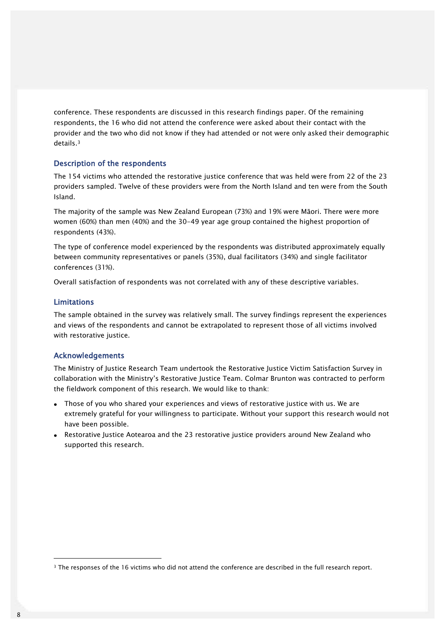conference. These respondents are discussed in this research findings paper. Of the remaining respondents, the 16 who did not attend the conference were asked about their contact with the provider and the two who did not know if they had attended or not were only asked their demographic details.<sup>3</sup>

## Description of the respondents

The 154 victims who attended the restorative justice conference that was held were from 22 of the 23 providers sampled. Twelve of these providers were from the North Island and ten were from the South Island.

The majority of the sample was New Zealand European (73%) and 19% were Māori. There were more women (60%) than men (40%) and the 30-49 year age group contained the highest proportion of respondents (43%).

The type of conference model experienced by the respondents was distributed approximately equally between community representatives or panels (35%), dual facilitators (34%) and single facilitator conferences (31%).

Overall satisfaction of respondents was not correlated with any of these descriptive variables.

#### Limitations

The sample obtained in the survey was relatively small. The survey findings represent the experiences and views of the respondents and cannot be extrapolated to represent those of all victims involved with restorative justice.

## Acknowledgements

The Ministry of Justice Research Team undertook the Restorative Justice Victim Satisfaction Survey in collaboration with the Ministry"s Restorative Justice Team. Colmar Brunton was contracted to perform the fieldwork component of this research. We would like to thank:

- Those of you who shared your experiences and views of restorative justice with us. We are extremely grateful for your willingness to participate. Without your support this research would not have been possible.
- Restorative Justice Aotearoa and the 23 restorative justice providers around New Zealand who supported this research.

1

<sup>3</sup> The responses of the 16 victims who did not attend the conference are described in the full research report.